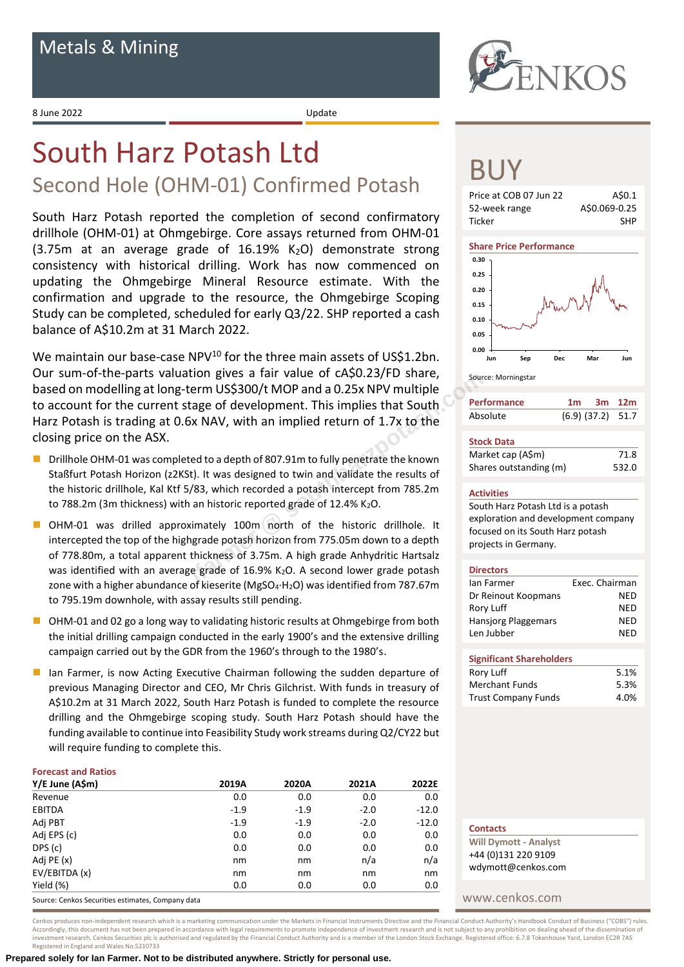8 June 2022 Update

# South Harz Potash Ltd

# Second Hole (OHM-01) Confirmed Potash

South Harz Potash reported the completion of second confirmatory drillhole (OHM-01) at Ohmgebirge. Core assays returned from OHM-01  $(3.75m$  at an average grade of 16.19% K<sub>2</sub>O) demonstrate strong consistency with historical drilling. Work has now commenced on updating the Ohmgebirge Mineral Resource estimate. With the confirmation and upgrade to the resource, the Ohmgebirge Scoping Study can be completed, scheduled for early Q3/22. SHP reported a cash balance of A\$10.2m at 31 March 2022.

We maintain our base-case NPV<sup>10</sup> for the three main assets of US\$1.2bn. Our sum-of-the-parts valuation gives a fair value of cA\$0.23/FD share, based on modelling at long-term US\$300/t MOP and a 0.25x NPV multiple to account for the current stage of development. This implies that South Harz Potash is trading at 0.6x NAV, with an implied return of 1.7x to the closing price on the ASX. tion gives a rair value or CASU.23/FD snare,<br>
in US\$300/t MOP and a 0.25x NPV multiple<br>
tage of development. This implies that South<br>
ix NAV, with an implied return of 1.7x to the<br>
ed to a depth of 807.91m to fully penetra

- Drillhole OHM-01 was completed to a depth of 807.91m to fully penetrate the known Staßfurt Potash Horizon (z2KSt). It was designed to twin and validate the results of the historic drillhole, Kal Ktf 5/83, which recorded a potash intercept from 785.2m to 788.2m (3m thickness) with an historic reported grade of 12.4% K2O.
- OHM-01 was drilled approximately 100m north of the historic drillhole. It intercepted the top of the highgrade potash horizon from 775.05m down to a depth of 778.80m, a total apparent thickness of 3.75m. A high grade Anhydritic Hartsalz was identified with an average grade of 16.9% K<sub>2</sub>O. A second lower grade potash zone with a higher abundance of kieserite (MgSO4·H2O) was identified from 787.67m to 795.19m downhole, with assay results still pending.
- OHM-01 and 02 go a long way to validating historic results at Ohmgebirge from both the initial drilling campaign conducted in the early 1900's and the extensive drilling campaign carried out by the GDR from the 1960's through to the 1980's.
- Ian Farmer, is now Acting Executive Chairman following the sudden departure of previous Managing Director and CEO, Mr Chris Gilchrist. With funds in treasury of A\$10.2m at 31 March 2022, South Harz Potash is funded to complete the resource drilling and the Ohmgebirge scoping study. South Harz Potash should have the funding available to continue into Feasibility Study work streams during Q2/CY22 but will require funding to complete this.

# **Forecast and Ratios**

| Y/E June (A\$m)                                   | 2019A  | 2020A  | 2021A  | 2022E   |
|---------------------------------------------------|--------|--------|--------|---------|
| Revenue                                           | 0.0    | 0.0    | 0.0    | 0.0     |
| <b>EBITDA</b>                                     | $-1.9$ | $-1.9$ | $-2.0$ | $-12.0$ |
| Adj PBT                                           | $-1.9$ | $-1.9$ | $-2.0$ | $-12.0$ |
| Adj EPS (c)                                       | 0.0    | 0.0    | 0.0    | 0.0     |
| DPS (c)                                           | 0.0    | 0.0    | 0.0    | 0.0     |
| Adj PE (x)                                        | nm     | nm     | n/a    | n/a     |
| EV/EBITDA (x)                                     | nm     | nm     | nm     | nm      |
| Yield (%)                                         | 0.0    | 0.0    | 0.0    | 0.0     |
| Causes: Capicac Conviting ostimates, Campanu data |        |        |        |         |

Source: Cenkos Securities estimates, Company data





# BUY







| <b>Performance</b> | 1 <sub>m</sub>        | 3m 12m |  |
|--------------------|-----------------------|--------|--|
| Absolute           | $(6.9)$ $(37.2)$ 51.7 |        |  |

| <b>Stock Data</b>      |       |
|------------------------|-------|
| Market cap (A\$m)      | 71.8  |
| Shares outstanding (m) | 532.0 |

## **Activities**

South Harz Potash Ltd is a potash exploration and development company focused on its South Harz potash projects in Germany.

## **Directors**

| lan Farmer          | Exec. Chairman |
|---------------------|----------------|
| Dr Reinout Koopmans | NFD            |
| Rory Luff           | NFD            |
| Hansjorg Plaggemars | NFD            |
| Len Jubber          | NFD            |
|                     |                |

| <b>Significant Shareholders</b> |      |
|---------------------------------|------|
| Rory Luff                       | 5.1% |
| Merchant Funds                  | 5.3% |
| <b>Trust Company Funds</b>      | 4.0% |

| n/a<br>nm | CUTC OJS TCTINI HT<br>wdymott@cenkos.com |
|-----------|------------------------------------------|
| 0.O       |                                          |
|           | www cenkos com                           |

**Will Dymott - Analyst** +44 (0)131 220 9109

**Contacts**

Registered in England and Wales No.5210733 **Prepared solely for Ian Farmer. Not to be distributed anywhere. Strictly for personal use.**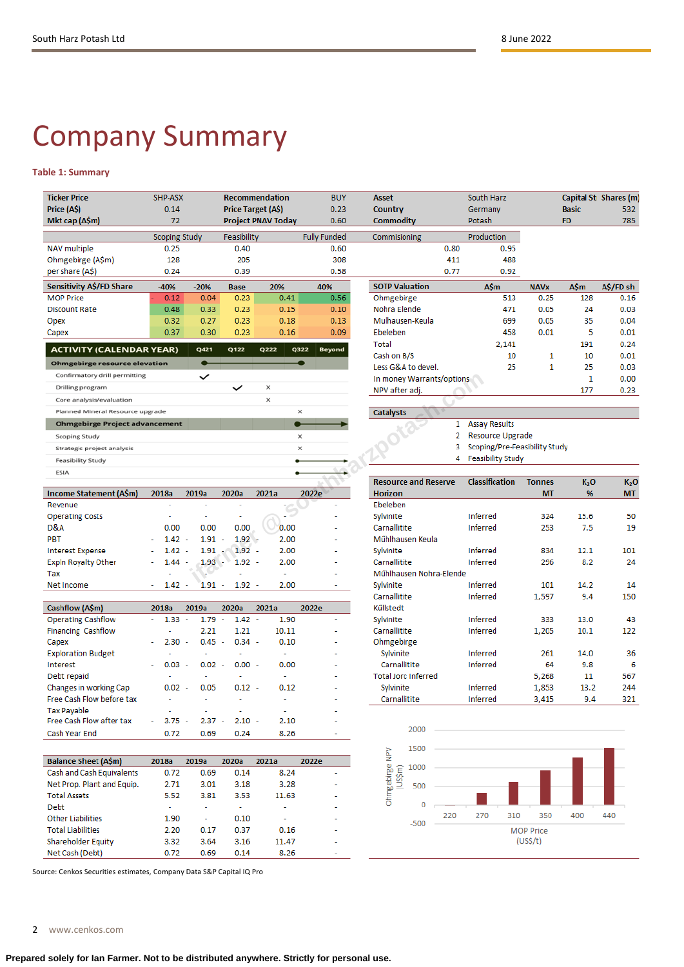# Company Summary

# **Table 1: Summary**

| <b>Ticker Price</b>                   | SHP-ASX                              |                                  |                    | <b>Recommendation</b> | <b>BUY</b>            | Asset                                         |      | South Harz                    |                            |                       | Capital St Shares (m)  |
|---------------------------------------|--------------------------------------|----------------------------------|--------------------|-----------------------|-----------------------|-----------------------------------------------|------|-------------------------------|----------------------------|-----------------------|------------------------|
| Price (A\$)                           | 0.14                                 |                                  |                    | Price Target (A\$)    | 0.23                  | Country                                       |      | Germany                       |                            | <b>Basic</b>          | 532                    |
| Mkt cap (A\$m)                        | 72                                   |                                  |                    | Project PNAV Today    | 0.60                  | Commodity                                     |      | Potash                        |                            | <b>FD</b>             | 785                    |
|                                       | <b>Scoping Study</b>                 |                                  | Feasibility        |                       | <b>Fully Funded</b>   | Commisioning                                  |      | Production                    |                            |                       |                        |
| <b>NAV</b> multiple                   | 0.25                                 |                                  | 0.40               |                       | 0.60                  |                                               | 0.80 | 0.95                          |                            |                       |                        |
| Ohmgebirge (A\$m)                     | 128                                  |                                  | 205                |                       | 308                   |                                               | 411  | 488                           |                            |                       |                        |
| per share (A\$)                       | 0.24                                 |                                  | 0.39               |                       | 0.58                  |                                               | 0.77 | 0.92                          |                            |                       |                        |
| Sensitivity A\$/FD Share              | $-40%$                               | $-20%$                           | <b>Base</b>        | 20%                   | 40%                   | <b>SOTP Valuation</b>                         |      | <b>A\$m</b>                   | <b>NAVx</b>                | <b>A\$m</b>           | A\$/FD sh              |
| <b>MOP Price</b>                      | 0.12                                 | 0.04                             | 0.23               | 0.41                  | 0.56                  | Ohmgebirge                                    |      | 513                           | 0.25                       | 128                   | 0.16                   |
| <b>Discount Rate</b>                  | 0.48                                 | 0.33                             | 0.23               | 0.15                  | 0.10                  | Nohra Elende                                  |      | 471                           | 0.05                       | 24                    | 0.03                   |
| Opex                                  | 0.32                                 | 0.27                             | 0.23               | 0.18                  | 0.13                  | Mulhausen-Keula                               |      | 699                           | 0.05                       | 35                    | 0.04                   |
| Capex                                 | 0.37                                 | 0.30                             | 0.23               | 0.16                  | 0.09                  | Ebeleben                                      |      | 458                           | 0.01                       | 5                     | 0.01                   |
| <b>ACTIVITY (CALENDAR YEAR)</b>       |                                      | Q421                             | Q122               | Q222                  | Q322<br><b>Beyond</b> | Total                                         |      | 2,141                         |                            | 191                   | 0.24                   |
| <b>Ohmgebirge resource elevation</b>  |                                      | $\bullet$                        |                    |                       |                       | Cash on B/S                                   |      | 10                            | 1                          | 10                    | 0.01                   |
|                                       |                                      |                                  |                    |                       |                       | Less G&A to devel.                            |      | 25                            | $\mathbf{1}$               | 25                    | 0.03                   |
| Confirmatory drill permitting         |                                      | $\checkmark$                     |                    |                       |                       | In money Warrants/options                     |      |                               |                            | 1                     | 0.00                   |
| Drilling program                      |                                      |                                  | $\checkmark$       | ×                     |                       | NPV after adj.                                |      |                               |                            | 177                   | 0.23                   |
| Core analysis/evaluation              |                                      |                                  |                    | ×                     |                       |                                               |      |                               |                            |                       |                        |
| Planned Mineral Resource upgrade      |                                      |                                  |                    |                       | x                     | <b>Catalysts</b>                              |      |                               |                            |                       |                        |
| <b>Ohmgebirge Project advancement</b> |                                      |                                  |                    |                       |                       |                                               | 1.   | <b>Assay Results</b>          |                            |                       |                        |
| <b>Scoping Study</b>                  |                                      |                                  |                    |                       | ×                     |                                               | 2    | Resource Upgrade              |                            |                       |                        |
| Strategic project analysis            |                                      |                                  |                    |                       | ×                     |                                               | 3    | Scoping/Pre-Feasibility Study |                            |                       |                        |
| Feasibility Study                     |                                      |                                  |                    |                       |                       |                                               | 4    | <b>Feasibility Study</b>      |                            |                       |                        |
| ESIA                                  |                                      |                                  |                    |                       |                       |                                               |      |                               |                            |                       |                        |
|                                       | 2018a                                | 2019a                            | 2020a              | 2021a                 | 2022e                 | <b>Resource and Reserve</b><br><b>Horizon</b> |      | <b>Classification</b>         | <b>Tonnes</b><br><b>MT</b> | K <sub>2</sub> O<br>% | K <sub>2</sub> O<br>MT |
| Income Statement (A\$m)<br>Revenue    | ä,                                   | ۰                                |                    |                       | ÷,                    | Ebeleben                                      |      |                               |                            |                       |                        |
| <b>Operating Costs</b>                | ÷,                                   |                                  |                    |                       |                       | Sylvinite                                     |      | <b>Inferred</b>               | 324                        | 15.6                  | 50                     |
| D&A                                   | 0.00                                 | 0.00                             | 0.00               | 0.00                  |                       | Carnallitite                                  |      | <b>Inferred</b>               | 253                        | 7.5                   | 19                     |
| PBT                                   | $1.42 -$                             | $1.91 -$                         | $1.92 -$           | 2.00                  |                       | Műhlhausen Keula                              |      |                               |                            |                       |                        |
| <b>Interest Expense</b>               | $1.42 -$                             | 1.91                             | $1.92 -$           | 2.00                  |                       | Sylvinite                                     |      | <b>Inferred</b>               | 834                        | 12.1                  | 101                    |
| <b>Expln Royalty Other</b>            | $1.44 -$                             | 1.93                             | $1.92 -$           | 2.00                  |                       | Carnallitite                                  |      | <b>Inferred</b>               | 296                        | 8.2                   | 24                     |
| Tax                                   |                                      |                                  |                    | ä,                    |                       | Műhlhausen Nohra-Elende                       |      |                               |                            |                       |                        |
| Net Income                            | 1.42<br>٠                            | $1.91 -$<br>÷                    | $1.92 -$           | 2.00                  |                       | Sylvinite                                     |      | Inferred                      | 101                        | 14.2                  | 14                     |
|                                       |                                      |                                  |                    |                       |                       | Carnallitite                                  |      | <b>Inferred</b>               | 1,597                      | 9.4                   | 150                    |
| Cashflow (A\$m)                       | 2018a                                | 2019a                            | 2020a              | 2021a                 | 2022e                 | Kűllstedt                                     |      |                               |                            |                       |                        |
| <b>Operating Cashflow</b>             | $1.33 -$<br>$\overline{\phantom{a}}$ | 1.79                             | $1.42 -$<br>$\sim$ | 1.90                  | $\overline{a}$        | Sylvinite                                     |      | <b>Inferred</b>               | 333                        | 13.0                  | 43                     |
| <b>Financing Cashflow</b>             | ÷                                    | 2.21                             | 1.21               | 10.11                 |                       | Carnallitite                                  |      | <b>Inferred</b>               | 1,205                      | 10.1                  | 122                    |
| Capex                                 | 2.30                                 | 0.45<br>$\overline{\phantom{a}}$ | $0.34 -$<br>$\sim$ | 0.10                  |                       | Ohmgebirge                                    |      |                               |                            |                       |                        |
| <b>Exploration Budget</b>             |                                      |                                  | ٠                  | ÷                     |                       | Sylvinite                                     |      | Inferred                      | 261                        | 14.0                  | 36                     |
| <b>Interest</b>                       | 0.03                                 | 0.02                             | $0.00 -$           | 0.00                  |                       | Carnallitite                                  |      | <b>Inferred</b>               | 64                         | 9.8                   | 6                      |
| Debt repaid                           |                                      |                                  |                    | ÷,                    |                       | <b>Total Jorc Inferred</b>                    |      |                               | 5,268                      | 11                    | 567                    |
| Changes in working Cap                | $0.02 -$                             | 0.05                             | $0.12 -$           | 0.12                  |                       | Sylvinite                                     |      | <b>Inferred</b>               | 1,853                      | 13.2                  | 244                    |
| Free Cash Flow before tax             |                                      |                                  |                    |                       |                       | Carnallitite                                  |      | <b>Inferred</b>               | 3,415                      | 9.4                   | 321                    |
| <b>Tax Payable</b>                    |                                      |                                  |                    |                       |                       |                                               |      |                               |                            |                       |                        |
| Free Cash Flow after tax              | 3.75                                 | $2.37 -$                         | $2.10 -$           | 2.10                  |                       |                                               |      |                               |                            |                       |                        |
| Cash Year End                         | 0.72                                 | 0.69                             | 0.24               | 8.26                  |                       | 2000                                          |      |                               |                            |                       |                        |
|                                       |                                      |                                  |                    |                       |                       |                                               |      |                               |                            |                       |                        |
|                                       |                                      |                                  |                    |                       |                       | 1500<br>Ohmgebirge NPV<br>(US\$m)             |      |                               |                            |                       |                        |
| <b>Balance Sheet (A\$m)</b>           | 2018a                                | 2019a                            | 2020a              | 2021a                 | 2022e                 | 1000                                          |      |                               |                            |                       |                        |
| Cash and Cash Equivalents             | 0.72                                 | 0.69                             | 0.14               | 8.24                  |                       |                                               |      |                               |                            |                       |                        |
| Net Prop. Plant and Equip.            | 2.71                                 | 3.01                             | 3.18               | 3.28                  |                       | 500                                           |      |                               |                            |                       |                        |
| <b>Total Assets</b>                   | 5.52                                 | 3.81                             | 3.53               | 11.63                 |                       | 0                                             |      |                               |                            |                       |                        |
| Debt                                  | ÷                                    | ٠                                | ÷                  | ۰                     |                       |                                               |      |                               |                            |                       |                        |

220

 $-500$ 

270

310

MOP Price

 $(US$/t)$ 

350

400

440

Source: Cenkos Securities estimates, Company Data S&P Capital IQ Pro

1.90

2.20

3.32

 $0.72$ 

2 www.cenkos.com

**Other Liabilities** 

**Total Liabilities** 

Net Cash (Debt)

**Shareholder Equity** 

 $\omega$ 

 $0.17$ 

3.64

 $0.69$ 

 $0.10$ 

0.37

 $3.16$ 

 $0.14$ 

ä,

 $0.16$ 

11.47

8.26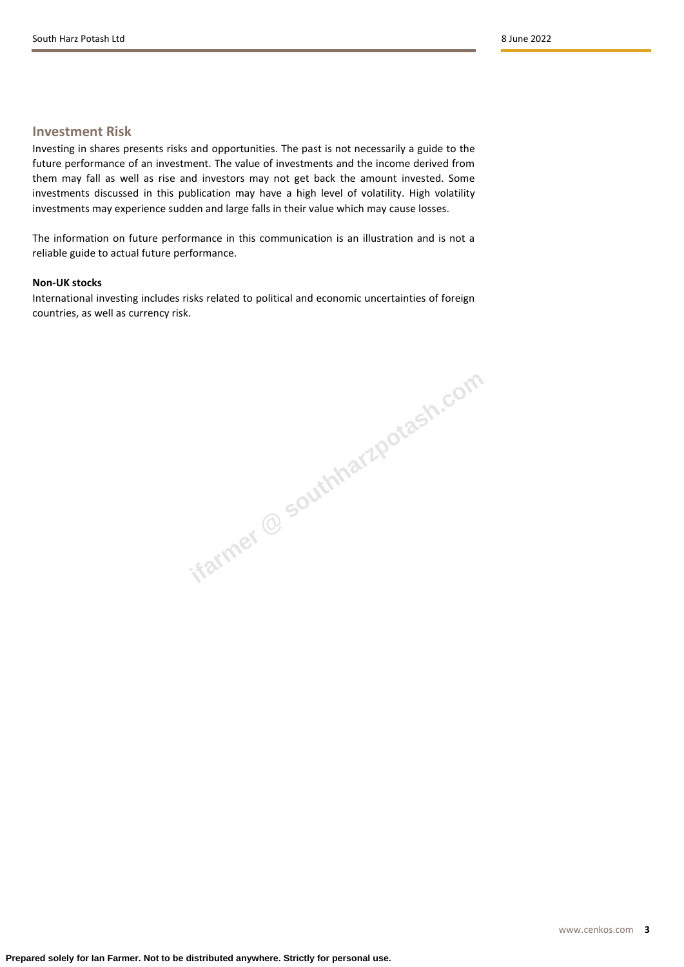# **Investment Risk**

Investing in shares presents risks and opportunities. The past is not necessarily a guide to the future performance of an investment. The value of investments and the income derived from them may fall as well as rise and investors may not get back the amount invested. Some investments discussed in this publication may have a high level of volatility. High volatility investments may experience sudden and large falls in their value which may cause losses.

The information on future performance in this communication is an illustration and is not a reliable guide to actual future performance.

# **Non-UK stocks**

International investing includes risks related to political and economic uncertainties of foreign countries, as well as currency risk.

**ifarmer @ southharzpotash.com**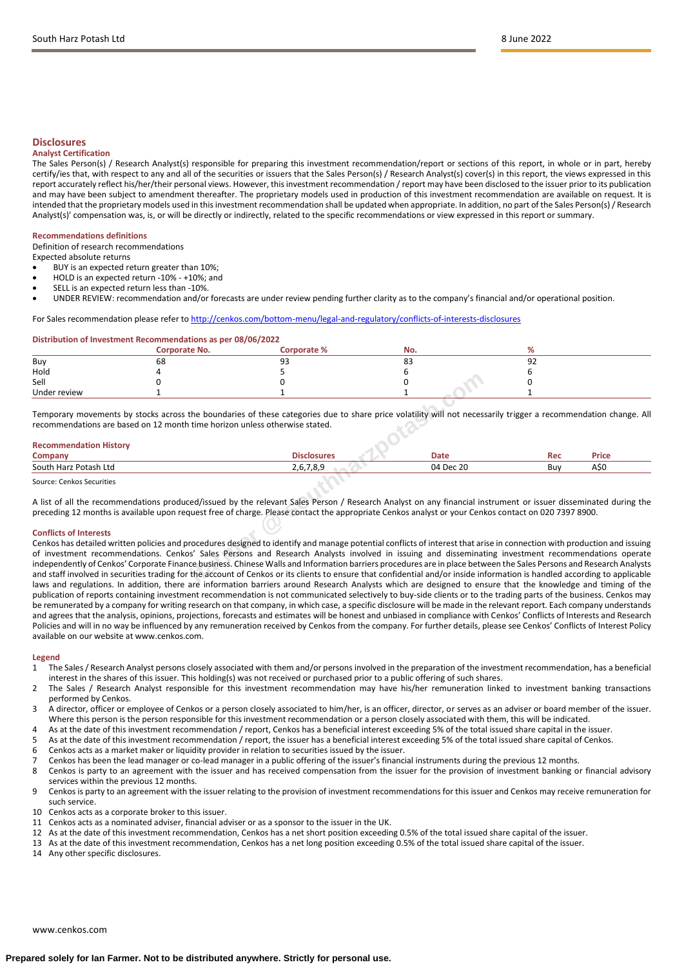# **Disclosures**

#### **Analyst Certification**

The Sales Person(s) / Research Analyst(s) responsible for preparing this investment recommendation/report or sections of this report, in whole or in part, hereby certify/ies that, with respect to any and all of the securities or issuers that the Sales Person(s) / Research Analyst(s) cover(s) in this report, the views expressed in this report accurately reflect his/her/their personal views. However, this investment recommendation / report may have been disclosed to the issuer prior to its publication and may have been subject to amendment thereafter. The proprietary models used in production of this investment recommendation are available on request. It is intended that the proprietary models used in this investment recommendation shall be updated when appropriate. In addition, no part of the Sales Person(s) / Research Analyst(s)' compensation was, is, or will be directly or indirectly, related to the specific recommendations or view expressed in this report or summary.

## **Recommendations definitions**

Definition of research recommendations

Expected absolute returns

- BUY is an expected return greater than 10%;
- HOLD is an expected return -10% +10%; and
- SELL is an expected return less than -10%.

• UNDER REVIEW: recommendation and/or forecasts are under review pending further clarity as to the company's financial and/or operational position.

### For Sales recommendation please refer to <http://cenkos.com/bottom-menu/legal-and-regulatory/conflicts-of-interests-disclosures>

#### **Distribution of Investment Recommendations as per 08/06/2022**

|              | <b>Corporate No.</b> | Corporate % | No.          |           |
|--------------|----------------------|-------------|--------------|-----------|
| Buy          | 68                   | ۵<br>ر ر    | $\sim$<br>၀၁ | ດາ<br>- - |
| Hold         |                      |             |              |           |
| Sell         |                      |             |              |           |
| Under review |                      |             |              |           |

Temporary movements by stocks across the boundaries of these categories due to share price volatility will not necessarily trigger a recommendation change. All recommendations are based on 12 month time horizon unless otherwise stated.

| <b>Recommendation History</b>      |             |             |     |       |
|------------------------------------|-------------|-------------|-----|-------|
| Company                            | Disclosures | <b>Date</b> | Rec | Price |
| South Harz Potash Ltd              | 2,6,7,8,9   | 04 Dec 20   | Buy | AŚC   |
| $\sim$ $\sim$ $\sim$ $\sim$ $\sim$ |             |             |     |       |

Source: Cenkos Securities

A list of all the recommendations produced/issued by the relevant Sales Person / Research Analyst on any financial instrument or issuer disseminated during the preceding 12 months is available upon request free of charge. Please contact the appropriate Cenkos analyst or your Cenkos contact on 020 7397 8900.

#### **Conflicts of Interests**

Cenkos has detailed written policies and procedures designed to identify and manage potential conflicts of interest that arise in connection with production and issuing of investment recommendations. Cenkos' Sales Persons and Research Analysts involved in issuing and disseminating investment recommendations operate independently of Cenkos' Corporate Finance business. Chinese Walls and Information barriers procedures are in place between the Sales Persons and Research Analysts and staff involved in securities trading for the account of Cenkos or its clients to ensure that confidential and/or inside information is handled according to applicable laws and regulations. In addition, there are information barriers around Research Analysts which are designed to ensure that the knowledge and timing of the publication of reports containing investment recommendation is not communicated selectively to buy-side clients or to the trading parts of the business. Cenkos may be remunerated by a company for writing research on that company, in which case, a specific disclosure will be made in the relevant report. Each company understands and agrees that the analysis, opinions, projections, forecasts and estimates will be honest and unbiased in compliance with Cenkos' Conflicts of Interests and Research Policies and will in no way be influenced by any remuneration received by Cenkos from the company. For further details, please see Cenkos' Conflicts of Interest Policy available on our website at www.cenkos.com. <sup>3</sup><br>
0<br> **1**<br> **if**<br> **if**<br> **if**<br> **if**<br> **if**<br> **if**<br> **if**<br> **if**<br> **if**<br> **if**<br> **if**<br> **if**<br> **if**<br> **if**<br> **if**<br> **if**<br> **if**<br> **if**<br> **if**<br> **if**<br> **if**<br> **if**<br> **if**<br> **if**<br> **if**<br> **if**<br> **if**<br> **if**<br> **if**<br> **if**<br> **if**<br> **if**<br> **if**<br> **if**<br> **if**<br>

#### **Legend**

- 1 The Sales / Research Analyst persons closely associated with them and/or persons involved in the preparation of the investment recommendation, has a beneficial interest in the shares of this issuer. This holding(s) was not received or purchased prior to a public offering of such shares.
- 2 The Sales / Research Analyst responsible for this investment recommendation may have his/her remuneration linked to investment banking transactions performed by Cenkos.
- 3 A director, officer or employee of Cenkos or a person closely associated to him/her, is an officer, director, or serves as an adviser or board member of the issuer. Where this person is the person responsible for this investment recommendation or a person closely associated with them, this will be indicated.
- 4 As at the date of this investment recommendation / report, Cenkos has a beneficial interest exceeding 5% of the total issued share capital in the issuer.
- 5 As at the date of this investment recommendation / report, the issuer has a beneficial interest exceeding 5% of the total issued share capital of Cenkos.
- 6 Cenkos acts as a market maker or liquidity provider in relation to securities issued by the issuer.<br>7 Cenkos has been the lead manager or co-lead manager in a public offering of the issuer's financi
- 7 Cenkos has been the lead manager or co-lead manager in a public offering of the issuer's financial instruments during the previous 12 months.
- Cenkos is party to an agreement with the issuer and has received compensation from the issuer for the provision of investment banking or financial advisory services within the previous 12 months.
- 9 Cenkos is party to an agreement with the issuer relating to the provision of investment recommendations for this issuer and Cenkos may receive remuneration for such service.
- 10 Cenkos acts as a corporate broker to this issuer.
- 11 Cenkos acts as a nominated adviser, financial adviser or as a sponsor to the issuer in the UK.
- 12 As at the date of this investment recommendation, Cenkos has a net short position exceeding 0.5% of the total issued share capital of the issuer.
- 13 As at the date of this investment recommendation, Cenkos has a net long position exceeding 0.5% of the total issued share capital of the issuer.
- 14 Any other specific disclosures.